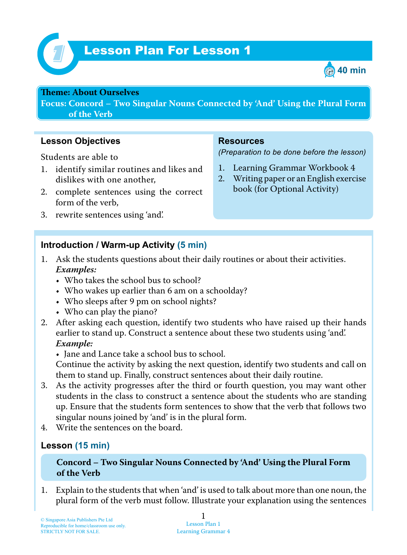

# Lesson Plan For Lesson 1 *1*



#### **Theme: About Ourselves**

**Focus: Concord – Two Singular Nouns Connected by 'And' Using the Plural Form of the Verb**

# **Lesson Objectives**

Students are able to

- 1. identify similar routines and likes and dislikes with one another,
- 2. complete sentences using the correct form of the verb,
- 3. rewrite sentences using 'and'.

# **Resources**

*(Preparation to be done before the lesson)*

- 1. Learning Grammar Workbook 4
- 2. Writing paper or an English exercise book (for Optional Activity)

#### **Introduction / Warm-up Activity (5 min)**

- 1. Ask the students questions about their daily routines or about their activities.  *Examples:*
	- Who takes the school bus to school?
	- Who wakes up earlier than 6 am on a schoolday?
	- Who sleeps after 9 pm on school nights?
	- Who can play the piano?
- 2. After asking each question, identify two students who have raised up their hands earlier to stand up. Construct a sentence about these two students using 'and'.  *Example:*
	- Jane and Lance take a school bus to school.

Continue the activity by asking the next question, identify two students and call on them to stand up. Finally, construct sentences about their daily routine.

- 3. As the activity progresses after the third or fourth question, you may want other students in the class to construct a sentence about the students who are standing up. Ensure that the students form sentences to show that the verb that follows two singular nouns joined by 'and' is in the plural form.
- 4. Write the sentences on the board.

#### **Lesson (15 min)**

#### **Concord – Two Singular Nouns Connected by 'And' Using the Plural Form of the Verb**

1. Explain to the students that when 'and' is used to talk about more than one noun, the plural form of the verb must follow. Illustrate your explanation using the sentences